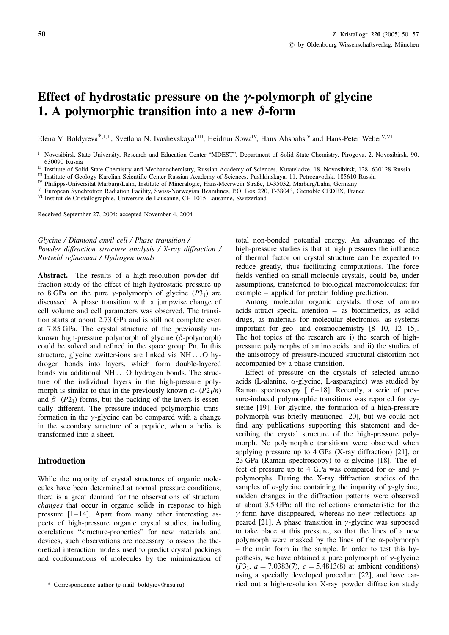# Effect of hydrostatic pressure on the  $\gamma$ -polymorph of glycine 1. A polymorphic transition into a new  $\delta$ -form

Elena V. Boldyreva<sup>\*, I, II</sup>, Svetlana N. Ivashevskaya<sup>I, III</sup>, Heidrun Sowa<sup>IV</sup>, Hans Ahsbahs<sup>IV</sup> and Hans-Peter Weber<sup>V, VI</sup>

Received September 27, 2004; accepted November 4, 2004

Glycine / Diamond anvil cell / Phase transition / Powder diffraction structure analysis / X-ray diffraction / Rietveld refinement / Hydrogen bonds

Abstract. The results of a high-resolution powder diffraction study of the effect of high hydrostatic pressure up to 8 GPa on the pure y-polymorph of glycine  $(P3<sub>1</sub>)$  are discussed. A phase transition with a jumpwise change of cell volume and cell parameters was observed. The transition starts at about 2.73 GPa and is still not complete even at 7.85 GPa. The crystal structure of the previously unknown high-pressure polymorph of glycine  $(\delta$ -polymorph) could be solved and refined in the space group Pn. In this structure, glycine zwitter-ions are linked via NH ... O hydrogen bonds into layers, which form double-layered bands via additional NH ... O hydrogen bonds. The structure of the individual layers in the high-pressure polymorph is similar to that in the previously known  $\alpha$ - (P2<sub>1</sub>/n) and  $\beta$ - (P2<sub>1</sub>) forms, but the packing of the layers is essentially different. The pressure-induced polymorphic transformation in the  $\gamma$ -glycine can be compared with a change in the secondary structure of a peptide, when a helix is transformed into a sheet.

## Introduction

While the majority of crystal structures of organic molecules have been determined at normal pressure conditions, there is a great demand for the observations of structural changes that occur in organic solids in response to high pressure [1–14]. Apart from many other interesting aspects of high-pressure organic crystal studies, including correlations "structure-properties" for new materials and devices, such observations are necessary to assess the theoretical interaction models used to predict crystal packings and conformations of molecules by the minimization of

total non-bonded potential energy. An advantage of the high-pressure studies is that at high pressures the influence of thermal factor on crystal structure can be expected to reduce greatly, thus facilitating computations. The force fields verified on small-molecule crystals, could be, under assumptions, transferred to biological macromolecules; for example – applied for protein folding prediction.

Among molecular organic crystals, those of amino acids attract special attention –– as biomimetics, as solid drugs, as materials for molecular electronics, as systems important for geo- and cosmochemistry [8–10, 12–15]. The hot topics of the research are i) the search of highpressure polymorphs of amino acids, and ii) the studies of the anisotropy of pressure-induced structural distortion not accompanied by a phase transition.

Effect of pressure on the crystals of selected amino acids (L-alanine,  $\alpha$ -glycine, L-asparagine) was studied by Raman spectroscopy [16–18]. Recently, a serie of pressure-induced polymorphic transitions was reported for cysteine [19]. For glycine, the formation of a high-pressure polymorph was briefly mentioned [20], but we could not find any publications supporting this statement and describing the crystal structure of the high-pressure polymorph. No polymorphic transitions were observed when applying pressure up to 4 GPa (X-ray diffraction) [21], or 23 GPa (Raman spectroscopy) to  $\alpha$ -glycine [18]. The effect of pressure up to 4 GPa was compared for  $\alpha$ - and  $\gamma$ polymorphs. During the X-ray diffraction studies of the samples of  $\alpha$ -glycine containing the impurity of  $\gamma$ -glycine, sudden changes in the diffraction patterns were observed at about 3.5 GPa: all the reflections characteristic for the  $\gamma$ -form have disappeared, whereas no new reflections appeared [21]. A phase transition in  $\gamma$ -glycine was supposed to take place at this pressure, so that the lines of a new polymorph were masked by the lines of the  $\alpha$ -polymorph – the main form in the sample. In order to test this hypothesis, we have obtained a pure polymorph of  $\gamma$ -glycine  $(P3<sub>1</sub>, a = 7.0383(7), c = 5.4813(8)$  at ambient conditions) using a specially developed procedure [22], and have carried out a high-resolution X-ray powder diffraction study

<sup>&</sup>lt;sup>I</sup> Novosibirsk State University, Research and Education Center "MDEST", Department of Solid State Chemistry, Pirogova, 2, Novosibirsk, 90, 630090 Russia

II Institute of Solid State Chemistry and Mechanochemistry, Russian Academy of Sciences, Kutateladze, 18, Novosibirsk, 128, 630128 Russia<br>
III Institute of Geology Karelian Scientific Center Russian Academy of Sciences, P

<sup>\*</sup> Correspondence author (e-mail: boldyrev@nsu.ru)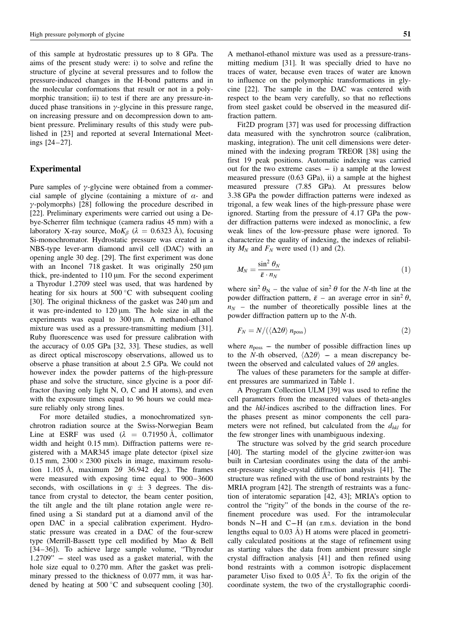of this sample at hydrostatic pressures up to 8 GPa. The aims of the present study were: i) to solve and refine the structure of glycine at several pressures and to follow the pressure-induced changes in the H-bond patterns and in the molecular conformations that result or not in a polymorphic transition; ii) to test if there are any pressure-induced phase transitions in  $\gamma$ -glycine in this pressure range, on increasing pressure and on decompression down to ambient pressure. Preliminary results of this study were published in [23] and reported at several International Meetings [24–27].

### Experimental

Pure samples of  $\gamma$ -glycine were obtained from a commercial sample of glycine (containing a mixture of  $\alpha$ - and  $\gamma$ -polymorphs) [28] following the procedure described in [22]. Preliminary experiments were carried out using a Debye-Scherrer film technique (camera radius 45 mm) with a laboratory X-ray source, Mo $K_\beta$  ( $\lambda = 0.6323$  Å), focusing Si-monochromator. Hydrostatic pressure was created in a NBS-type lever-arm diamond anvil cell (DAC) with an opening angle 30 deg. [29]. The first experiment was done with an Inconel 718 gasket. It was originally  $250 \mu m$ thick, pre-indented to  $110 \mu m$ . For the second experiment a Thyrodur 1.2709 steel was used, that was hardened by heating for six hours at  $500\,^{\circ}\text{C}$  with subsequent cooling [30]. The original thickness of the gasket was 240 µm and it was pre-indented to  $120 \mu m$ . The hole size in all the experiments was equal to 300 um. A methanol-ethanol mixture was used as a pressure-transmitting medium [31]. Ruby fluorescence was used for pressure calibration with the accuracy of 0.05 GPa [32, 33]. These studies, as well as direct optical miscroscopy observations, allowed us to observe a phase transition at about 2.5 GPa. We could not however index the powder patterns of the high-pressure phase and solve the structure, since glycine is a poor diffractor (having only light N, O, C and H atoms), and even with the exposure times equal to 96 hours we could measure reliably only strong lines.

For more detailed studies, a monochromatized synchrotron radiation source at the Swiss-Norwegian Beam Line at ESRF was used  $(\lambda = 0.71950 \text{ Å}, \text{ collimator})$ width and height 0.15 mm). Diffraction patterns were registered with a MAR345 image plate detector (pixel size  $0.15$  mm,  $2300 \times 2300$  pixels in image, maximum resolution 1.105 Å, maximum  $2\theta$  36.942 deg.). The frames were measured with exposing time equal to 900–3600 seconds, with oscillations in  $\varphi \pm 3$  degrees. The distance from crystal to detector, the beam center position, the tilt angle and the tilt plane rotation angle were refined using a Si standard put at a diamond anvil of the open DAC in a special calibration experiment. Hydrostatic pressure was created in a DAC of the four-screw type (Merrill-Bassett type cell modified by Mao & Bell [34–36]). To achieve large sample volume, "Thyrodur  $1.2709"$  – steel was used as a gasket material, with the hole size equal to 0.270 mm. After the gasket was preliminary pressed to the thickness of 0.077 mm, it was hardened by heating at  $500\degree C$  and subsequent cooling [30]. A methanol-ethanol mixture was used as a pressure-transmitting medium [31]. It was specially dried to have no traces of water, because even traces of water are known to influence on the polymorphic transformations in glycine [22]. The sample in the DAC was centered with respect to the beam very carefully, so that no reflections from steel gasket could be observed in the measured diffraction pattern.

Fit2D program [37] was used for processing diffraction data measured with the synchrotron source (calibration, masking, integration). The unit cell dimensions were determined with the indexing program TREOR [38] using the first 19 peak positions. Automatic indexing was carried out for the two extreme cases  $- i$ ) a sample at the lowest measured pressure (0.63 GPa), ii) a sample at the highest measured pressure (7.85 GPa). At pressures below 3.38 GPa the powder diffraction patterns were indexed as trigonal, a few weak lines of the high-pressure phase were ignored. Starting from the pressure of 4.17 GPa the powder diffraction patterns were indexed as monoclinic, a few weak lines of the low-pressure phase were ignored. To characterize the quality of indexing, the indexes of reliability  $M_N$  and  $F_N$  were used (1) and (2).

$$
M_N = \frac{\sin^2 \theta_N}{\bar{\varepsilon} \cdot n_N} \tag{1}
$$

where  $\sin^2 \theta_N$  – the value of  $\sin^2 \theta$  for the N-th line at the powder diffraction pattern,  $\bar{\varepsilon}$  – an average error in sin<sup>2</sup>  $\theta$ ,  $n_N$  – the number of theoretically possible lines at the powder diffraction pattern up to the N-th.

$$
F_N = N/(\langle \Delta 2\theta \rangle n_{\text{poss}}) \tag{2}
$$

where  $n_{\text{poss}}$  – the number of possible diffraction lines up to the N-th observed,  $\langle \Delta 2\theta \rangle$  – a mean discrepancy between the observed and calculated values of  $2\theta$  angles.

The values of these parameters for the sample at different pressures are summarized in Table 1.

A Program Collection ULM [39] was used to refine the cell parameters from the measured values of theta-angles and the hkl-indices ascribed to the diffraction lines. For the phases present as minor components the cell parameters were not refined, but calculated from the  $d_{hkl}$  for the few stronger lines with unambiguous indexing.

The structure was solved by the grid search procedure [40]. The starting model of the glycine zwitter-ion was built in Cartesian coordinates using the data of the ambient-pressure single-crystal diffraction analysis [41]. The structure was refined with the use of bond restraints by the MRIA program [42]. The strength of restraints was a function of interatomic separation [42, 43]; MRIA's option to control the "rigity" of the bonds in the course of the refinement procedure was used. For the intramolecular bonds N–H and C–H (an r.m.s. deviation in the bond lengths equal to  $0.03 \text{ Å}$ ) H atoms were placed in geometrically calculated positions at the stage of refinement using as starting values the data from ambient pressure single crystal diffraction analysis [41] and then refined using bond restraints with a common isotropic displacement parameter Uiso fixed to 0.05  $A^2$ . To fix the origin of the coordinate system, the two of the crystallographic coordi-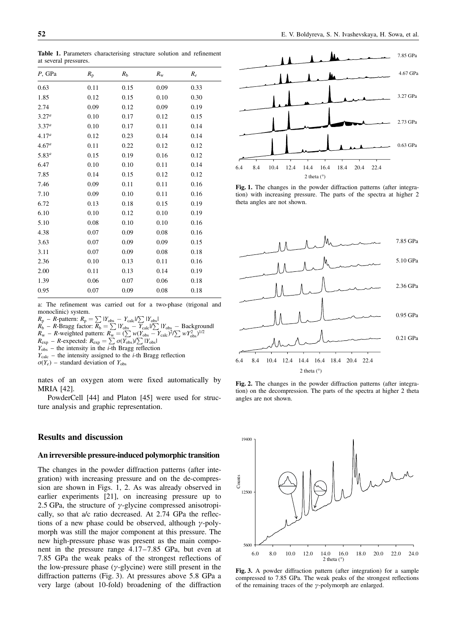Table 1. Parameters characterising structure solution and refinement at several pressures.

| $P$ , GPa         | $R_{\rm p}$ | $R_{\rm h}$ | $R_{\rm w}$ | $R_e$ |
|-------------------|-------------|-------------|-------------|-------|
| 0.63              | 0.11        | 0.15        | 0.09        | 0.33  |
| 1.85              | 0.12        | 0.15        | 0.10        | 0.30  |
| 2.74              | 0.09        | 0.12        | 0.09        | 0.19  |
| $3.27^{a}$        | 0.10        | 0.17        | 0.12        | 0.15  |
| $3.37^{a}$        | 0.10        | 0.17        | 0.11        | 0.14  |
| 4.17 <sup>a</sup> | 0.12        | 0.23        | 0.14        | 0.14  |
| 4.67 <sup>a</sup> | 0.11        | 0.22        | 0.12        | 0.12  |
| $5.83^{a}$        | 0.15        | 0.19        | 0.16        | 0.12  |
| 6.47              | 0.10        | 0.10        | 0.11        | 0.14  |
| 7.85              | 0.14        | 0.15        | 0.12        | 0.12  |
| 7.46              | 0.09        | 0.11        | 0.11        | 0.16  |
| 7.10              | 0.09        | 0.10        | 0.11        | 0.16  |
| 6.72              | 0.13        | 0.18        | 0.15        | 0.19  |
| 6.10              | 0.10        | 0.12        | 0.10        | 0.19  |
| 5.10              | 0.08        | 0.10        | 0.10        | 0.16  |
| 4.38              | 0.07        | 0.09        | 0.08        | 0.16  |
| 3.63              | 0.07        | 0.09        | 0.09        | 0.15  |
| 3.11              | 0.07        | 0.09        | 0.08        | 0.18  |
| 2.36              | 0.10        | 0.13        | 0.11        | 0.16  |
| 2.00              | 0.11        | 0.13        | 0.14        | 0.19  |
| 1.39              | 0.06        | 0.07        | 0.06        | 0.18  |
| 0.95              | 0.07        | 0.09        | 0.08        | 0.18  |
|                   |             |             |             |       |

a: The refinement was carried out for a two-phase (trigonal and monoclinic) system.

 $R_{\rm p} - R_{\rm P}$  pattern:  $R_{\rm p} = \sum |Y_{\rm obs} - Y_{\rm calc}|/\sum |Y_{\rm obs}|$ 

$$
R_b
$$
 – *R*-Bragg factor:  $R_b = \sum_{\text{obs}} I_{\text{obs}} - Y_{\text{calc}} / \sum_{\text{obs}} |Y_{\text{obs}} - \text{Background}|$   
 $R_w$  – *R*-weighted pattern:  $R_w = (\sum_{\text{w}(Y_{\text{obs}})} - Y_{\text{calc}})^2 / \sum_{\text{w}(Y_{\text{obs}})}^{1/2} |V_{\text{obs}}|^{1/2}$ 

 $R_{\rm exp}$  – R-expected:  $R_{\rm exp} = \sum \sigma(Y_{\rm obs})/\sum |Y_{\rm obs}|$ 

- $Y_{\text{obs}}$  the intensity in the *i*-th Bragg reflection
- $Y_{\text{calc}}$  the intensity assigned to the *i*-th Bragg reflection
- $\sigma(Y_e)$  standard deviation of Y<sub>obs</sub>

nates of an oxygen atom were fixed automatically by MRIA [42].

PowderCell [44] and Platon [45] were used for structure analysis and graphic representation.

## Results and discussion

#### An irreversible pressure-induced polymorphic transition

The changes in the powder diffraction patterns (after integration) with increasing pressure and on the de-compression are shown in Figs. 1, 2. As was already observed in earlier experiments [21], on increasing pressure up to 2.5 GPa, the structure of  $\gamma$ -glycine compressed anisotropically, so that a/c ratio decreased. At 2.74 GPa the reflections of a new phase could be observed, although  $\gamma$ -polymorph was still the major component at this pressure. The new high-pressure phase was present as the main component in the pressure range 4.17–7.85 GPa, but even at 7.85 GPa the weak peaks of the strongest reflections of the low-pressure phase  $(y$ -glycine) were still present in the diffraction patterns (Fig. 3). At pressures above 5.8 GPa a very large (about 10-fold) broadening of the diffraction



Fig. 1. The changes in the powder diffraction patterns (after integration) with increasing pressure. The parts of the spectra at higher 2 theta angles are not shown.



Fig. 2. The changes in the powder diffraction patterns (after integration) on the decompression. The parts of the spectra at higher 2 theta angles are not shown.



Fig. 3. A powder diffraction pattern (after integration) for a sample compressed to 7.85 GPa. The weak peaks of the strongest reflections of the remaining traces of the  $\gamma$ -polymorph are enlarged.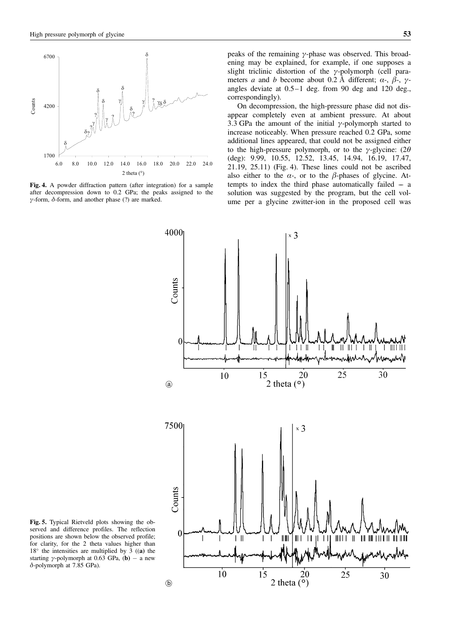

Fig. 4. A powder diffraction pattern (after integration) for a sample after decompression down to 0.2 GPa; the peaks assigned to the  $\gamma$ -form,  $\delta$ -form, and another phase (?) are marked.

peaks of the remaining  $\gamma$ -phase was observed. This broadening may be explained, for example, if one supposes a slight triclinic distortion of the  $\gamma$ -polymorph (cell parameters a and b become about 0.2 Å different;  $\alpha$ -,  $\beta$ -,  $\gamma$ angles deviate at 0.5–1 deg. from 90 deg and 120 deg., correspondingly).

On decompression, the high-pressure phase did not disappear completely even at ambient pressure. At about 3.3 GPa the amount of the initial  $\gamma$ -polymorph started to increase noticeably. When pressure reached 0.2 GPa, some additional lines appeared, that could not be assigned either to the high-pressure polymorph, or to the  $\gamma$ -glycine: (2 $\theta$ ) (deg): 9.99, 10.55, 12.52, 13.45, 14.94, 16.19, 17.47, 21.19, 25.11) (Fig. 4). These lines could not be ascribed also either to the  $\alpha$ -, or to the  $\beta$ -phases of glycine. Attempts to index the third phase automatically failed  $-$  a solution was suggested by the program, but the cell volume per a glycine zwitter-ion in the proposed cell was



Fig. 5. Typical Rietveld plots showing the observed and difference profiles. The reflection positions are shown below the observed profile; for clarity, for the 2 theta values higher than  $18^\circ$  the intensities are multiplied by  $\overline{3}$  ((a) the starting  $\gamma$ -polymorph at 0.63 GPa, (**b**) – a new  $\delta$ -polymorph at 7.85 GPa).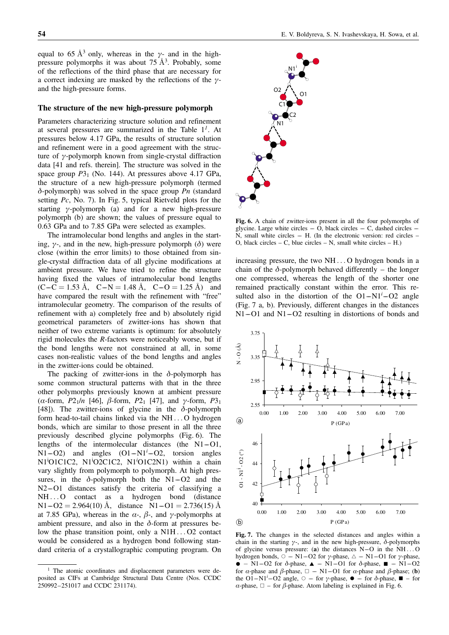equal to 65 Å<sup>3</sup> only, whereas in the  $\gamma$ - and in the highpressure polymorphs it was about  $75 \text{ Å}^3$ . Probably, some of the reflections of the third phase that are necessary for a correct indexing are masked by the reflections of the  $\gamma$ and the high-pressure forms.

#### The structure of the new high-pressure polymorph

Parameters characterizing structure solution and refinement at several pressures are summarized in the Table  $1<sup>1</sup>$ . At pressures below 4.17 GPa, the results of structure solution and refinement were in a good agreement with the structure of  $\gamma$ -polymorph known from single-crystal diffraction data [41 and refs. therein]. The structure was solved in the space group  $P3_1$  (No. 144). At pressures above 4.17 GPa, the structure of a new high-pressure polymorph (termed  $\delta$ -polymorph) was solved in the space group Pn (standard setting Pc, No. 7). In Fig. 5, typical Rietveld plots for the starting  $\gamma$ -polymorph (a) and for a new high-pressure polymorph (b) are shown; the values of pressure equal to 0.63 GPa and to 7.85 GPa were selected as examples.

The intramolecular bond lengths and angles in the starting,  $\gamma$ -, and in the new, high-pressure polymorph ( $\delta$ ) were close (within the error limits) to those obtained from single-crystal diffraction data of all glycine modifications at ambient pressure. We have tried to refine the structure having fixed the values of intramolecular bond lengths  $(C-C = 1.53 \text{ Å}, C-N = 1.48 \text{ Å}, C-O = 1.25 \text{ Å})$  and have compared the result with the refinement with "free" intramolecular geometry. The comparison of the results of refinement with a) completely free and b) absolutely rigid geometrical parameters of zwitter-ions has shown that neither of two extreme variants is optimum: for absolutely rigid molecules the R-factors were noticeably worse, but if the bond lengths were not constrained at all, in some cases non-realistic values of the bond lengths and angles in the zwitter-ions could be obtained.

The packing of zwitter-ions in the  $\delta$ -polymorph has some common structural patterns with that in the three other polymorphs previously known at ambient pressure ( $\alpha$ -form,  $P2_1/n$  [46],  $\beta$ -form,  $P2_1$  [47], and  $\gamma$ -form,  $P3_1$ [48]). The zwitter-ions of glycine in the  $\delta$ -polymorph form head-to-tail chains linked via the NH ... O hydrogen bonds, which are similar to those present in all the three previously described glycine polymorphs (Fig. 6). The lengths of the intermolecular distances (the  $N1-<sub>O1</sub>$ ,  $N1-O2$ ) and angles  $(O1-N1<sup>i</sup>-O2$ , torsion angles N1<sup>i</sup>O1C1C2, N1<sup>i</sup>O2C1C2, N1<sup>i</sup>O1C2N1) within a chain vary slightly from polymorph to polymorph. At high pressures, in the  $\delta$ -polymorph both the N1–O2 and the N2–O1 distances satisfy the criteria of classifying a NH...O contact as a hydrogen bond (distance  $N1-02 = 2.964(10)$  Å, distance  $N1-01 = 2.736(15)$  Å at 7.85 GPa), whereas in the  $\alpha$ -,  $\beta$ -, and  $\gamma$ -polymorphs at ambient pressure, and also in the  $\delta$ -form at pressures below the phase transition point, only a N1H ... O2 contact would be considered as a hydrogen bond following standard criteria of a crystallographic computing program. On



Fig. 6. A chain of zwitter-ions present in all the four polymorphs of glycine. Large white circles  $-$  O, black circles  $-$  C, dashed circles  $\overrightarrow{N}$ , small white circles – H. (In the electronic version: red circles – O, black circles – C, blue circles – N, small white circles – H.)

increasing pressure, the two NH ... O hydrogen bonds in a chain of the  $\delta$ -polymorph behaved differently – the longer one compressed, whereas the length of the shorter one remained practically constant within the error. This resulted also in the distortion of the  $O1-N1<sup>i</sup>-O2$  angle (Fig. 7 a, b). Previously, different changes in the distances  $N1–O1$  and  $N1–O2$  resulting in distortions of bonds and



Fig. 7. The changes in the selected distances and angles within a chain in the starting  $\gamma$ -, and in the new high-pressure,  $\delta$ -polymorphs of glycine versus pressure: (a) the distances  $N-O$  in the  $NH...O$ hydrogen bonds,  $\circ$  – N1–O2 for  $\gamma$ -phase,  $\triangle$  – N1–O1 for  $\gamma$ -phase,  $\bullet$  – N1–O2 for  $\delta$ -phase,  $\blacktriangle$  – N1–O1 for  $\delta$ -phase,  $\blacksquare$  – N1–O2 for  $\alpha$ -phase and  $\beta$ -phase,  $\Box$  – N1–O1 for  $\alpha$ -phase and  $\beta$ -phase; (b) the O1–N1<sup>i</sup>–O2 angle,  $\circ$  – for  $\gamma$ -phase,  $\bullet$  – for  $\delta$ -phase,  $\blacksquare$  – for  $\alpha$ -phase,  $\Box$  – for  $\beta$ -phase. Atom labeling is explained in Fig. 6.

<sup>&</sup>lt;sup>1</sup> The atomic coordinates and displacement parameters were deposited as CIFs at Cambridge Structural Data Centre (Nos. CCDC 250992–251017 and CCDC 231174).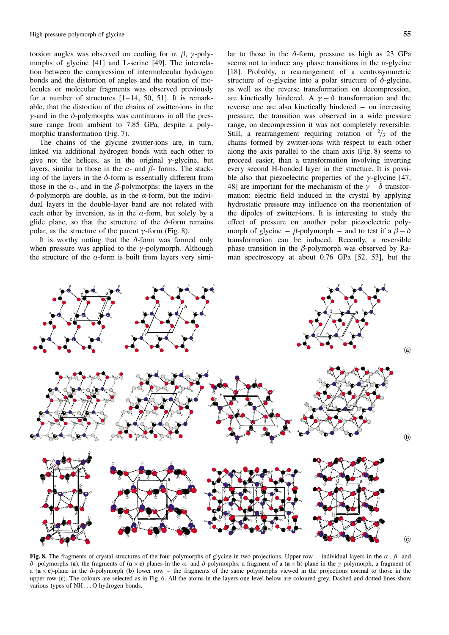torsion angles was observed on cooling for  $\alpha$ ,  $\beta$ ,  $\gamma$ -polymorphs of glycine [41] and L-serine [49]. The interrelation between the compression of intermolecular hydrogen bonds and the distortion of angles and the rotation of molecules or molecular fragments was observed previously for a number of structures  $[1-14, 50, 51]$ . It is remarkable, that the distortion of the chains of zwitter-ions in the  $\gamma$ -and in the  $\delta$ -polymorphs was continuous in all the pressure range from ambient to 7.85 GPa, despite a polymorphic transformation (Fig. 7).

The chains of the glycine zwitter-ions are, in turn, linked via additional hydrogen bonds with each other to give not the helices, as in the original  $\gamma$ -glycine, but layers, similar to those in the  $\alpha$ - and  $\beta$ - forms. The stacking of the layers in the  $\delta$ -form is essentially different from those in the  $\alpha$ -, and in the  $\beta$ -polymorphs: the layers in the  $\delta$ -polymorph are double, as in the  $\alpha$ -form, but the individual layers in the double-layer band are not related with each other by inversion, as in the  $\alpha$ -form, but solely by a glide plane, so that the structure of the  $\delta$ -form remains polar, as the structure of the parent  $\gamma$ -form (Fig. 8).

It is worthy noting that the  $\delta$ -form was formed only when pressure was applied to the  $\gamma$ -polymorph. Although the structure of the  $\alpha$ -form is built from layers very similar to those in the  $\delta$ -form, pressure as high as 23 GPa seems not to induce any phase transitions in the  $\alpha$ -glycine [18]. Probably, a rearrangement of a centrosymmetric structure of  $\alpha$ -glycine into a polar structure of  $\delta$ -glycine, as well as the reverse transformation on decompression, are kinetically hindered. A  $\gamma - \delta$  transformation and the reverse one are also kinetically hindered –– on increasing pressure, the transition was observed in a wide pressure range, on decompression it was not completely reversible. Still, a rearrangement requiring rotation of  $\frac{2}{3}$  of the chains formed by zwitter-ions with respect to each other along the axis parallel to the chain axis (Fig. 8) seems to proceed easier, than a transformation involving inverting every second H-bonded layer in the structure. It is possible also that piezoelectric properties of the  $\gamma$ -glycine [47, 48] are important for the mechanism of the  $\gamma - \delta$  transformation: electric field induced in the crystal by applying hydrostatic pressure may influence on the reorientation of the dipoles of zwitter-ions. It is interesting to study the effect of pressure on another polar piezoelectric polymorph of glycine –  $\beta$ -polymorph – and to test if a  $\beta - \delta$ transformation can be induced. Recently, a reversible phase transition in the  $\beta$ -polymorph was observed by Raman spectroscopy at about 0.76 GPa [52, 53], but the



Fig. 8. The fragments of crystal structures of the four polymorphs of glycine in two projections. Upper row – individual layers in the  $\alpha$ -,  $\beta$ - and  $\delta$ - polymorphs (a), the fragments of (a  $\times$  c) planes in the  $\alpha$ - and  $\beta$ -polymorphs, a fragment of a (a  $\times$  b)-plane in the  $\gamma$ -polymorph, a fragment of a  $(a \times c)$ -plane in the  $\delta$ -polymorph (b) lower row – the fragments of the same polymorphs viewed in the projections normal to those in the upper row (c). The colours are selected as in Fig. 6. All the atoms in the layers one level below are coloured grey. Dashed and dotted lines show various types of NH ... O hydrogen bonds.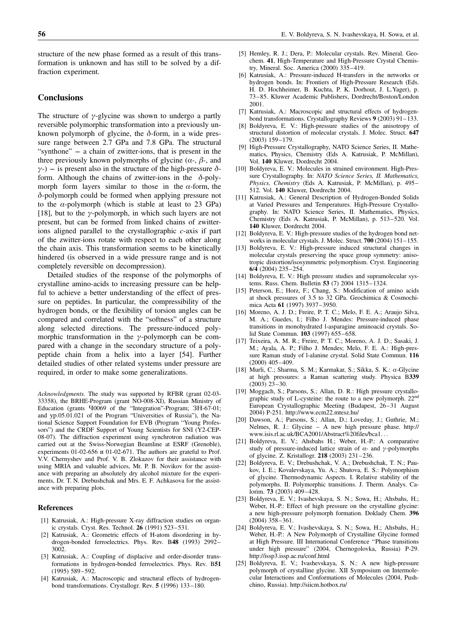structure of the new phase formed as a result of this transformation is unknown and has still to be solved by a diffraction experiment.

## **Conclusions**

The structure of  $\gamma$ -glycine was shown to undergo a partly reversible polymorphic transformation into a previously unknown polymorph of glycine, the  $\delta$ -form, in a wide pressure range between 2.7 GPa and 7.8 GPa. The structural "synthone" –– a chain of zwitter-ions, that is present in the three previously known polymorphs of glycine  $(\alpha, \beta)$ , and  $\gamma$ -) – is present also in the structure of the high-pressure  $\delta$ form. Although the chains of zwitter-ions in the  $\delta$ -polymorph form layers similar to those in the  $\alpha$ -form, the  $\delta$ -polymorph could be formed when applying pressure not to the  $\alpha$ -polymorph (which is stable at least to 23 GPa) [18], but to the  $\gamma$ -polymorph, in which such layers are not present, but can be formed from linked chains of zwitterions aligned parallel to the crystallographic c-axis if part of the zwitter-ions rotate with respect to each other along the chain axis. This transformation seems to be kinetically hindered (is observed in a wide pressure range and is not completely reversible on decompression).

Detailed studies of the response of the polymorphs of crystalline amino-acids to increasing pressure can be helpful to achieve a better understanding of the effect of pressure on peptides. In particular, the compressibility of the hydrogen bonds, or the flexibility of torsion angles can be compared and correlated with the "softness" of a structure along selected directions. The pressure-induced polymorphic transformation in the  $\gamma$ -polymorph can be compared with a change in the secondary structure of a polypeptide chain from a helix into a layer [54]. Further detailed studies of other related systems under pressure are required, in order to make some generalizations.

Acknowledgments. The study was supported by RFBR (grant 02-03- 33358), the BRHE-Program (grant NO-008-XI), Russian Ministry of Education (grants Y0069 of the "Integration"-Program; 3H-67-01; and yp.05.01.021 of the Program "Universities of Russia"), the National Science Support Foundation for EVB (Program "Young Professors") and the CRDF Support of Young Scientists for SNI (Y2-CEP-08-07). The diffraction experiment using synchrotron radiation was carried out at the Swiss-Norwegian Beamline at ESRF (Grenoble), experiments 01-02-656  $\mu$  01-02-671. The authors are grateful to Prof. V.V. Chernyshev and Prof. V. B. Zlokazov for their assistance with using MRIA and valuable advices, Mr. P. B. Novikov for the assistance with preparing an absolutely dry alcohol mixture for the experiments, Dr. T. N. Drebushchak and Mrs. E. F. Achkasova for the assistance with preparing plots.

#### References

- [1] Katrusiak, A.: High-pressure X-ray diffraction studies on organic crystals. Cryst. Res. Technol. 26 (1991) 523–531.
- [2] Katrusiak, A.: Geometric effects of H-atom disordering in hydrogen-bonded ferroelectrics. Phys. Rev. B48 (1993) 2992– 3002.
- [3] Katrusiak, A.: Coupling of displacive and order-disorder transformations in hydrogen-bonded ferroelectrics. Phys. Rev. B51 (1995) 589–592.
- [4] Katrusiak, A.: Macroscopic and structural effects of hydrogenbond transformations. Crystallogr. Rev. 5 (1996) 133–180.
- [5] Hemley, R. J.; Dera, P.: Molecular crystals. Rev. Mineral. Geochem. 41, High-Temperature and High-Pressure Crystal Chemistry, Mineral. Soc. America (2000) 335–419.
- [6] Katrusiak, A.: Pressure-induced H-transfers in the networks or hydrogen bonds. In: Frontiers of High-Pressure Research (Eds. H. D. Hochheimer, B. Kuchta, P. K. Dorhout, J. L.Yager), p. 73–85. Kluwer Academic Publishers, Dordrecht/Boston/London 2001.
- [7] Katrusiak, A.: Macroscopic and structural effects of hydrogenbond transformations. Crystallography Reviews 9 (2003) 91–133.
- [8] Boldyreva, E. V.: High-pressure studies of the anisotropy of structural distortion of molecular crystals. J. Molec. Struct. 647 (2003) 159–179.
- [9] High-Pressure Crystallography, NATO Science Series, II. Mathematics, Physics, Chemistry (Eds A. Katrusiak, P. McMillan), Vol. 140 Kluwer, Dordrecht 2004.
- [10] Boldyreva, E. V.: Molecules in strained environment. High-Pressure Crystallography. In: NATO Science Series, II. Mathematics, Physics, Chemistry (Eds A. Katrusiak, P. McMillan), p. 495– 512. Vol. 140 Kluwer, Dordrecht 2004.
- [11] Katrusiak, A.: General Description of Hydrogen-Bonded Solids at Varied Pressures and Temperatures. High-Pressure Crystallography. In: NATO Science Series, II. Mathematics, Physics, Chemistry (Eds A. Katrusiak, P. McMillan), p. 513–520. Vol. 140 Kluwer, Dordrecht 2004.
- [12] Boldyreva, E. V.: High-pressure studies of the hydrogen bond networks in molecular crystals. J. Molec. Struct. 700 (2004) 151–155.
- [13] Boldyreva, E. V.: High-pressure induced structural changes in molecular crystals preserving the space group symmetry: anisotropic distortion/isosymmetric polymorphism. Cryst. Engineering 6/4 (2004) 235–254.
- [14] Boldyreva, E. V.: High pressure studies and supramolecular systems. Russ. Chem. Bulletin 53 (7) 2004 1315–1324.
- [15] Peterson, E.; Horz, F.; Chang, S.: Modification of amino acids at shock pressures of 3.5 to 32 GPa. Geochimica & Cosmochimica Acta 61 (1997) 3937–3950.
- [16] Moreno, A. J. D.; Freire, P. T. C.; Melo, F. E. A.; Araujo Silva, M. A.; Guedes, I.; Filho J. Mendes: Pressure-induced phase transitions in monohydrated l-asparagine aminoacid crystals. Solid State Commun. 103 (1997) 655–658.
- [17] Teixeira, A. M. R.; Freire, P. T. C.; Moreno, A. J. D.; Sasaki, J. M.; Ayala, A. P.; Filho J. Mendes; Melo, F. E. A.: High-pressure Raman study of l-alanine crystal. Solid State Commun. 116 (2000) 405–409.
- [18] Murli, C.; Sharma, S. M.; Karmakar, S.; Sikka, S. K.: a-Glycine at high pressures: a Raman scattering study. Physica B339 (2003) 23–30.
- [19] Moggach, S.; Parsons, S.; Allan, D. R.: High pressure crystallographic study of L-cysteine: the route to a new polymorph. 22nd European Crystallographic Meeting (Budapest, 26–31 August 2004) P-251. http://www.ecm22.mtesz.hu/
- [20] Dawson, A.; Parsons, S.; Allan, D.; Loveday, J.; Guthrie, M.; Nelmes, R. J.: Glycine – A new high pressure phase. http:// www.isis.rl.ac.uk/BCA2001/Abstract%20files/bca1...
- [21] Boldyreva, E. V.; Ahsbahs H.; Weber, H.-P.: A comparative study of pressure-induced lattice strain of  $\alpha$ - and  $\gamma$ -polymorphs of glycine. Z. Kristallogr. 218 (2003) 231–236.
- [22] Boldyreva, E. V.; Drebushchak, V. A.; Drebushchak, T. N.; Paukov, I. E.; Kovalevskaya, Yu. A.; Shutova, E. S.: Polymorphism of glycine. Thermodynamic Aspects. I. Relative stability of the polymorphs. II. Polymorphic transitions. J. Therm. Analys. Calorim. 73 (2003) 409–428.
- [23] Boldyreva, E. V.; Ivashevskaya, S. N.; Sowa, H.; Ahsbahs, H.; Weber, H.-P.: Effect of high pressure on the crystalline glycine: a new high-pressure polymorph formation. Doklady Chem. 396 (2004) 358–361.
- [24] Boldyreva, E. V.; Ivashevskaya, S. N.; Sowa, H.; Ahsbahs, H.; Weber, H.-P.: A New Polymorph of Crystalline Glycine formed at High Pressure. III International Conference ''Phase transitions under high pressure" (2004, Chernogolovka, Russia) P-29. http://issp3.issp.ac.ru/conf.html
- [25] Boldyreva, E. V.; Ivashevskaya, S. N.: A new high-pressure polymorph of crystalline glycine. XII Symposium on Intermolecular Interactions and Conformations of Molecules (2004, Pushchino, Russia). http://siicm.hotbox.ru/